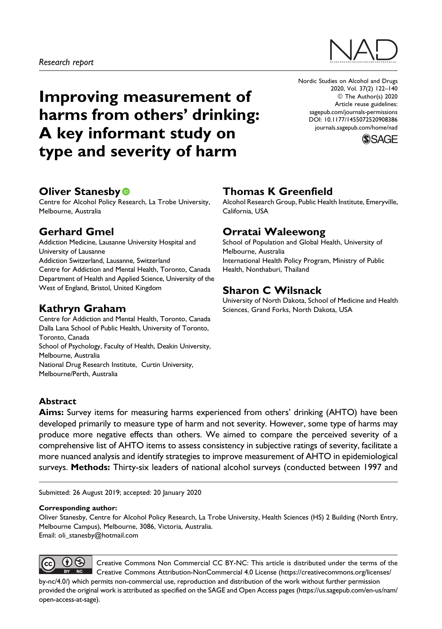

# Improving measurement of harms from others' drinking: A key informant study on type and severity of harm

Nordic Studies on Alcohol and Drugs 2020, Vol. 37(2) 122–140 © The Author(s) 2020 Article reuse guidelines: [sagepub.com/journals-permissions](https://sagepub.com/journals-permissions) [DOI: 10.1177/1455072520908386](https://doi.org/10.1177/1455072520908386) [journals.sagepub.com/home/nad](http://journals.sagepub.com/home/nad)



# **Oliver Stanesby**

Centre for Alcohol Policy Research, La Trobe University, Melbourne, Australia

# Gerhard Gmel

Addiction Medicine, Lausanne University Hospital and University of Lausanne Addiction Switzerland, Lausanne, Switzerland Centre for Addiction and Mental Health, Toronto, Canada Department of Health and Applied Science, University of the West of England, Bristol, United Kingdom

# Kathryn Graham

Centre for Addiction and Mental Health, Toronto, Canada Dalla Lana School of Public Health, University of Toronto, Toronto, Canada School of Psychology, Faculty of Health, Deakin University, Melbourne, Australia National Drug Research Institute, Curtin University, Melbourne/Perth, Australia

# Thomas K Greenfield

Alcohol Research Group, Public Health Institute, Emeryville, California, USA

# Orratai Waleewong

School of Population and Global Health, University of Melbourne, Australia International Health Policy Program, Ministry of Public Health, Nonthaburi, Thailand

# Sharon C Wilsnack

University of North Dakota, School of Medicine and Health Sciences, Grand Forks, North Dakota, USA

### Abstract

Aims: Survey items for measuring harms experienced from others' drinking (AHTO) have been developed primarily to measure type of harm and not severity. However, some type of harms may produce more negative effects than others. We aimed to compare the perceived severity of a comprehensive list of AHTO items to assess consistency in subjective ratings of severity, facilitate a more nuanced analysis and identify strategies to improve measurement of AHTO in epidemiological surveys. Methods: Thirty-six leaders of national alcohol surveys (conducted between 1997 and

Submitted: 26 August 2019; accepted: 20 January 2020

#### Corresponding author:

Oliver Stanesby, Centre for Alcohol Policy Research, La Trobe University, Health Sciences (HS) 2 Building (North Entry, Melbourne Campus), Melbourne, 3086, Victoria, Australia. Email: [oli\\_stanesby@hotmail.com](mailto:oli_stanesby@hotmail.com)

 $\mathbf{0} \otimes$ Creative Commons Non Commercial CC BY-NC: This article is distributed under the terms of the Creative Commons Attribution-NonCommercial 4.0 License [\(https://creativecommons.org/licenses/](https://creativecommons.org/licenses/by-nc/4.0/) [by-nc/4.0/\)](https://creativecommons.org/licenses/by-nc/4.0/) which permits non-commercial use, reproduction and distribution of the work without further permission provided the original work is attributed as specified on the SAGE and Open Access pages ([https://us.sagepub.com/en-us/nam/](https://us.sagepub.com/en-us/nam/open-access-at-sage) [open-access-at-sage](https://us.sagepub.com/en-us/nam/open-access-at-sage)).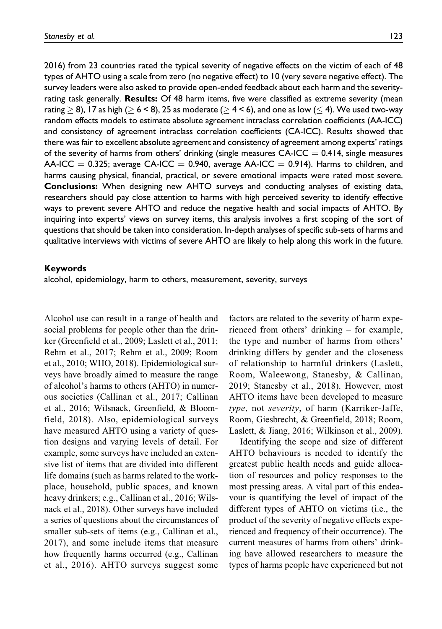2016) from 23 countries rated the typical severity of negative effects on the victim of each of 48 types of AHTO using a scale from zero (no negative effect) to 10 (very severe negative effect). The survey leaders were also asked to provide open-ended feedback about each harm and the severityrating task generally. **Results:** Of 48 harm items, five were classified as extreme severity (mean rating  $\geq$  8), 17 as high ( $\geq$  6 < 8), 25 as moderate ( $\geq$  4 < 6), and one as low ( $\leq$  4). We used two-way random effects models to estimate absolute agreement intraclass correlation coefficients (AA-ICC) and consistency of agreement intraclass correlation coefficients (CA-ICC). Results showed that there was fair to excellent absolute agreement and consistency of agreement among experts' ratings of the severity of harms from others' drinking (single measures  $CA-ICC = 0.414$ , single measures  $AA-ICC = 0.325$ ; average  $CA-ICC = 0.940$ , average  $AA-ICC = 0.914$ ). Harms to children, and harms causing physical, financial, practical, or severe emotional impacts were rated most severe. Conclusions: When designing new AHTO surveys and conducting analyses of existing data, researchers should pay close attention to harms with high perceived severity to identify effective ways to prevent severe AHTO and reduce the negative health and social impacts of AHTO. By inquiring into experts' views on survey items, this analysis involves a first scoping of the sort of questions that should be taken into consideration. In-depth analyses of specific sub-sets of harms and qualitative interviews with victims of severe AHTO are likely to help along this work in the future.

#### Keywords

alcohol, epidemiology, harm to others, measurement, severity, surveys

Alcohol use can result in a range of health and social problems for people other than the drinker (Greenfield et al., 2009; Laslett et al., 2011; Rehm et al., 2017; Rehm et al., 2009; Room et al., 2010; WHO, 2018). Epidemiological surveys have broadly aimed to measure the range of alcohol's harms to others (AHTO) in numerous societies (Callinan et al., 2017; Callinan et al., 2016; Wilsnack, Greenfield, & Bloomfield, 2018). Also, epidemiological surveys have measured AHTO using a variety of question designs and varying levels of detail. For example, some surveys have included an extensive list of items that are divided into different life domains (such as harms related to the workplace, household, public spaces, and known heavy drinkers; e.g., Callinan et al., 2016; Wilsnack et al., 2018). Other surveys have included a series of questions about the circumstances of smaller sub-sets of items (e.g., Callinan et al., 2017), and some include items that measure how frequently harms occurred (e.g., Callinan et al., 2016). AHTO surveys suggest some

factors are related to the severity of harm experienced from others' drinking – for example, the type and number of harms from others' drinking differs by gender and the closeness of relationship to harmful drinkers (Laslett, Room, Waleewong, Stanesby, & Callinan, 2019; Stanesby et al., 2018). However, most AHTO items have been developed to measure type, not severity, of harm (Karriker-Jaffe, Room, Giesbrecht, & Greenfield, 2018; Room, Laslett, & Jiang, 2016; Wilkinson et al., 2009).

Identifying the scope and size of different AHTO behaviours is needed to identify the greatest public health needs and guide allocation of resources and policy responses to the most pressing areas. A vital part of this endeavour is quantifying the level of impact of the different types of AHTO on victims (i.e., the product of the severity of negative effects experienced and frequency of their occurrence). The current measures of harms from others' drinking have allowed researchers to measure the types of harms people have experienced but not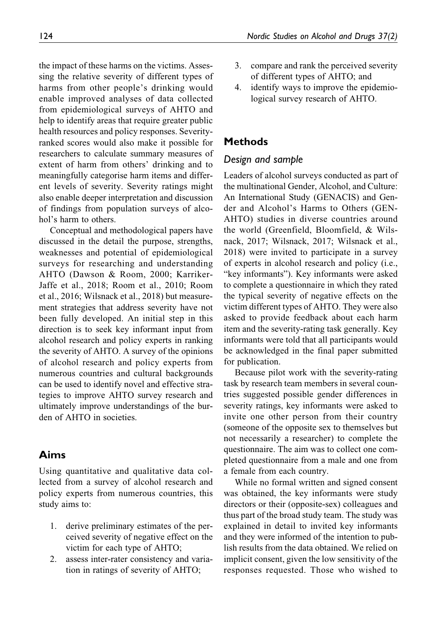the impact of these harms on the victims. Assessing the relative severity of different types of harms from other people's drinking would enable improved analyses of data collected from epidemiological surveys of AHTO and help to identify areas that require greater public health resources and policy responses. Severityranked scores would also make it possible for researchers to calculate summary measures of extent of harm from others' drinking and to meaningfully categorise harm items and different levels of severity. Severity ratings might also enable deeper interpretation and discussion of findings from population surveys of alcohol's harm to others.

Conceptual and methodological papers have discussed in the detail the purpose, strengths, weaknesses and potential of epidemiological surveys for researching and understanding AHTO (Dawson & Room, 2000; Karriker-Jaffe et al., 2018; Room et al., 2010; Room et al., 2016; Wilsnack et al., 2018) but measurement strategies that address severity have not been fully developed. An initial step in this direction is to seek key informant input from alcohol research and policy experts in ranking the severity of AHTO. A survey of the opinions of alcohol research and policy experts from numerous countries and cultural backgrounds can be used to identify novel and effective strategies to improve AHTO survey research and ultimately improve understandings of the burden of AHTO in societies.

### Aims

Using quantitative and qualitative data collected from a survey of alcohol research and policy experts from numerous countries, this study aims to:

- 1. derive preliminary estimates of the perceived severity of negative effect on the victim for each type of AHTO;
- 2. assess inter-rater consistency and variation in ratings of severity of AHTO;
- 3. compare and rank the perceived severity of different types of AHTO; and
- 4. identify ways to improve the epidemiological survey research of AHTO.

### Methods

### Design and sample

Leaders of alcohol surveys conducted as part of the multinational Gender, Alcohol, and Culture: An International Study (GENACIS) and Gender and Alcohol's Harms to Others (GEN-AHTO) studies in diverse countries around the world (Greenfield, Bloomfield, & Wilsnack, 2017; Wilsnack, 2017; Wilsnack et al., 2018) were invited to participate in a survey of experts in alcohol research and policy (i.e., "key informants"). Key informants were asked to complete a questionnaire in which they rated the typical severity of negative effects on the victim different types of AHTO. They were also asked to provide feedback about each harm item and the severity-rating task generally. Key informants were told that all participants would be acknowledged in the final paper submitted for publication.

Because pilot work with the severity-rating task by research team members in several countries suggested possible gender differences in severity ratings, key informants were asked to invite one other person from their country (someone of the opposite sex to themselves but not necessarily a researcher) to complete the questionnaire. The aim was to collect one completed questionnaire from a male and one from a female from each country.

While no formal written and signed consent was obtained, the key informants were study directors or their (opposite-sex) colleagues and thus part of the broad study team. The study was explained in detail to invited key informants and they were informed of the intention to publish results from the data obtained. We relied on implicit consent, given the low sensitivity of the responses requested. Those who wished to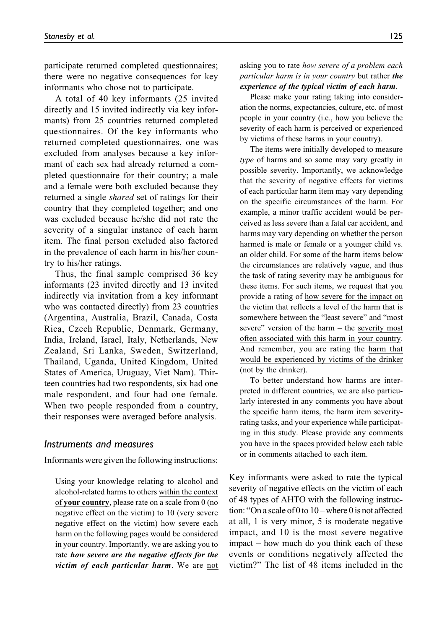participate returned completed questionnaires; there were no negative consequences for key informants who chose not to participate.

A total of 40 key informants (25 invited directly and 15 invited indirectly via key informants) from 25 countries returned completed questionnaires. Of the key informants who returned completed questionnaires, one was excluded from analyses because a key informant of each sex had already returned a completed questionnaire for their country; a male and a female were both excluded because they returned a single shared set of ratings for their country that they completed together; and one was excluded because he/she did not rate the severity of a singular instance of each harm item. The final person excluded also factored in the prevalence of each harm in his/her country to his/her ratings.

Thus, the final sample comprised 36 key informants (23 invited directly and 13 invited indirectly via invitation from a key informant who was contacted directly) from 23 countries (Argentina, Australia, Brazil, Canada, Costa Rica, Czech Republic, Denmark, Germany, India, Ireland, Israel, Italy, Netherlands, New Zealand, Sri Lanka, Sweden, Switzerland, Thailand, Uganda, United Kingdom, United States of America, Uruguay, Viet Nam). Thirteen countries had two respondents, six had one male respondent, and four had one female. When two people responded from a country, their responses were averaged before analysis.

#### Instruments and measures

Informants were given the following instructions:

Using your knowledge relating to alcohol and alcohol-related harms to others within the context of your country, please rate on a scale from 0 (no negative effect on the victim) to 10 (very severe negative effect on the victim) how severe each harm on the following pages would be considered in your country. Importantly, we are asking you to rate how severe are the negative effects for the victim of each particular harm. We are not asking you to rate how severe of a problem each particular harm is in your country but rather the experience of the typical victim of each harm.

Please make your rating taking into consideration the norms, expectancies, culture, etc. of most people in your country (i.e., how you believe the severity of each harm is perceived or experienced by victims of these harms in your country).

The items were initially developed to measure type of harms and so some may vary greatly in possible severity. Importantly, we acknowledge that the severity of negative effects for victims of each particular harm item may vary depending on the specific circumstances of the harm. For example, a minor traffic accident would be perceived as less severe than a fatal car accident, and harms may vary depending on whether the person harmed is male or female or a younger child vs. an older child. For some of the harm items below the circumstances are relatively vague, and thus the task of rating severity may be ambiguous for these items. For such items, we request that you provide a rating of how severe for the impact on the victim that reflects a level of the harm that is somewhere between the "least severe" and "most severe" version of the harm – the severity most often associated with this harm in your country. And remember, you are rating the harm that would be experienced by victims of the drinker (not by the drinker).

To better understand how harms are interpreted in different countries, we are also particularly interested in any comments you have about the specific harm items, the harm item severityrating tasks, and your experience while participating in this study. Please provide any comments you have in the spaces provided below each table or in comments attached to each item.

Key informants were asked to rate the typical severity of negative effects on the victim of each of 48 types of AHTO with the following instruction: "On a scale of 0 to  $10$  – where 0 is not affected at all, 1 is very minor, 5 is moderate negative impact, and 10 is the most severe negative impact – how much do you think each of these events or conditions negatively affected the victim?" The list of 48 items included in the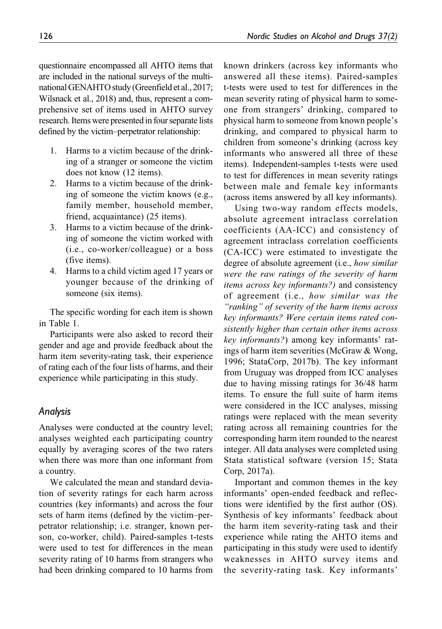questionnaire encompassed all AHTO items that are included in the national surveys of the multinational GENAHTO study (Greenfield et al., 2017; Wilsnack et al., 2018) and, thus, represent a comprehensive set of items used in AHTO survey research. Items were presented in four separate lists defined by the victim–perpetrator relationship:

- 1. Harms to a victim because of the drinking of a stranger or someone the victim does not know (12 items).
- 2. Harms to a victim because of the drinking of someone the victim knows (e.g., family member, household member, friend, acquaintance) (25 items).
- 3. Harms to a victim because of the drinking of someone the victim worked with (i.e., co-worker/colleague) or a boss (five items).
- 4. Harms to a child victim aged 17 years or younger because of the drinking of someone (six items).

The specific wording for each item is shown in Table 1.

Participants were also asked to record their gender and age and provide feedback about the harm item severity-rating task, their experience of rating each of the four lists of harms, and their experience while participating in this study.

### Analysis

Analyses were conducted at the country level; analyses weighted each participating country equally by averaging scores of the two raters when there was more than one informant from a country.

We calculated the mean and standard deviation of severity ratings for each harm across countries (key informants) and across the four sets of harm items (defined by the victim–perpetrator relationship; i.e. stranger, known person, co-worker, child). Paired-samples t-tests were used to test for differences in the mean severity rating of 10 harms from strangers who had been drinking compared to 10 harms from known drinkers (across key informants who answered all these items). Paired-samples t-tests were used to test for differences in the mean severity rating of physical harm to someone from strangers' drinking, compared to physical harm to someone from known people's drinking, and compared to physical harm to children from someone's drinking (across key informants who answered all three of these items). Independent-samples t-tests were used to test for differences in mean severity ratings between male and female key informants (across items answered by all key informants).

Using two-way random effects models, absolute agreement intraclass correlation coefficients (AA-ICC) and consistency of agreement intraclass correlation coefficients (CA-ICC) were estimated to investigate the degree of absolute agreement (i.e., how similar were the raw ratings of the severity of harm items across key informants?) and consistency of agreement (i.e., how similar was the "ranking" of severity of the harm items across key informants? Were certain items rated consistently higher than certain other items across key informants?) among key informants' ratings of harm item severities (McGraw & Wong, 1996; StataCorp, 2017b). The key informant from Uruguay was dropped from ICC analyses due to having missing ratings for 36/48 harm items. To ensure the full suite of harm items were considered in the ICC analyses, missing ratings were replaced with the mean severity rating across all remaining countries for the corresponding harm item rounded to the nearest integer. All data analyses were completed using Stata statistical software (version 15; Stata Corp, 2017a).

Important and common themes in the key informants' open-ended feedback and reflections were identified by the first author (OS). Synthesis of key informants' feedback about the harm item severity-rating task and their experience while rating the AHTO items and participating in this study were used to identify weaknesses in AHTO survey items and the severity-rating task. Key informants'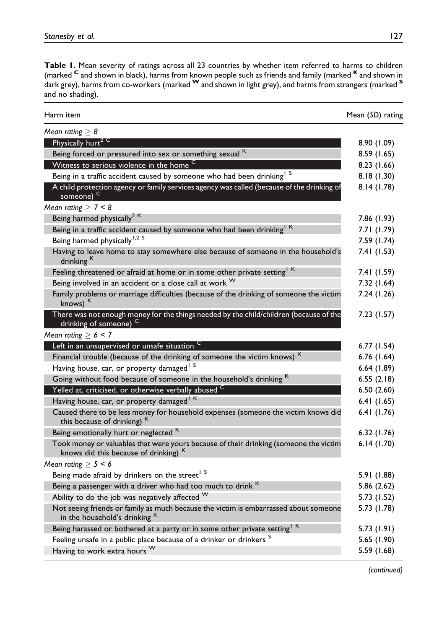Table 1. Mean severity of ratings across all 23 countries by whether item referred to harms to children (marked <sup>C</sup> and shown in black), harms from known people such as friends and family (marked <sup>K</sup> and shown in dark grey), harms from co-workers (marked W and shown in light grey), and harms from strangers (marked S and no shading).

| Harm item                                                                                                                      | Mean (SD) rating |
|--------------------------------------------------------------------------------------------------------------------------------|------------------|
| Mean rating $\geq 8$                                                                                                           |                  |
| Physically hurt <sup>2</sup>                                                                                                   | 8.90 (1.09)      |
| Being forced or pressured into sex or something sexual K                                                                       | 8.59 (1.65)      |
| Witness to serious violence in the home C                                                                                      | 8.23 (1.66)      |
| Being in a traffic accident caused by someone who had been drinking <sup>1 S</sup>                                             | 8.18(1.30)       |
| A child protection agency or family services agency was called (because of the drinking of<br>someone) -                       | 8.14 (1.78)      |
| Mean rating $\geq$ 7 < 8                                                                                                       |                  |
| Being harmed physically <sup>2 K</sup>                                                                                         | 7.86 (1.93)      |
| Being in a traffic accident caused by someone who had been drinking <sup>1 K</sup>                                             | 7.71 (1.79)      |
| Being harmed physically <sup>1,2 S</sup>                                                                                       | 7.59 (1.74)      |
| Having to leave home to stay somewhere else because of someone in the household's<br>drinking <sup>K</sup>                     | 7.41 (1.53)      |
| Feeling threatened or afraid at home or in some other private setting <sup>1 K</sup>                                           | 7.41 (1.59)      |
| Being involved in an accident or a close call at work W                                                                        | 7.32 (1.64)      |
| Family problems or marriage difficulties (because of the drinking of someone the victim<br>knows) K                            | 7.24 (1.26)      |
| There was not enough money for the things needed by the child/children (because of the<br>drinking of someone) <sup>C</sup>    | 7.23 (1.57)      |
| Mean rating $\geq 6 < 7$                                                                                                       |                  |
| Left in an unsupervised or unsafe situation                                                                                    | 6.77(1.54)       |
| Financial trouble (because of the drinking of someone the victim knows) <sup>K</sup>                                           | 6.76(1.64)       |
| Having house, car, or property damaged <sup>15</sup>                                                                           | 6.64(1.89)       |
| Going without food because of someone in the household's drinking <sup>K</sup>                                                 | 6.55(2.18)       |
| Yelled at, criticised, or otherwise verbally abused C                                                                          | 6.50(2.60)       |
| Having house, car, or property damaged <sup>1 K</sup>                                                                          | 6.41(1.65)       |
| Caused there to be less money for household expenses (someone the victim knows did<br>this because of drinking) <sup>K</sup>   | 6.4 $(1.76)$     |
| Being emotionally hurt or neglected K                                                                                          | 6.32(1.76)       |
| Took money or valuables that were yours because of their drinking (someone the victim<br>knows did this because of drinking) K | 6.14(1.70)       |
| Mean rating $\geq$ 5 < 6                                                                                                       |                  |
| Being made afraid by drinkers on the street <sup>1</sup> S                                                                     | 5.91 (1.88)      |
| Being a passenger with a driver who had too much to drink <sup>K</sup>                                                         | 5.86 (2.62)      |
| Ability to do the job was negatively affected $W$                                                                              | 5.73 (1.52)      |
| Not seeing friends or family as much because the victim is embarrassed about someone<br>in the household's drinking K          | 5.73 (1.78)      |
| Being harassed or bothered at a party or in some other private setting <sup>1 K</sup>                                          | 5.73 (1.91)      |
| Feeling unsafe in a public place because of a drinker or drinkers <sup>S</sup>                                                 | 5.65 (1.90)      |
| Having to work extra hours W                                                                                                   | 5.59 (1.68)      |

(continued)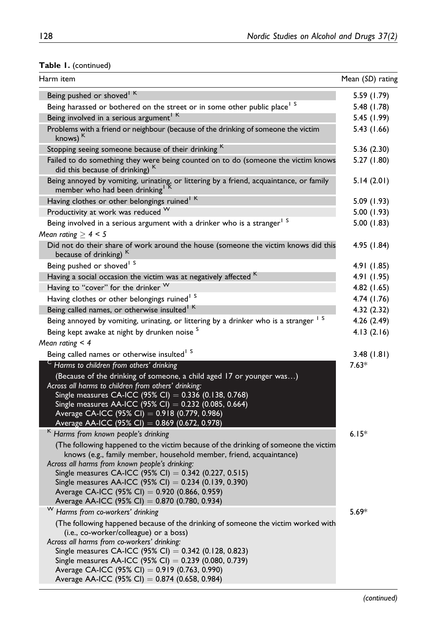# Table 1. (continued)

| Harm item                                                                                                                                                                                                                                                                                                                                                                                                                                  | Mean (SD) rating |
|--------------------------------------------------------------------------------------------------------------------------------------------------------------------------------------------------------------------------------------------------------------------------------------------------------------------------------------------------------------------------------------------------------------------------------------------|------------------|
| Being pushed or shoved <sup>1 K</sup>                                                                                                                                                                                                                                                                                                                                                                                                      | 5.59 (1.79)      |
| Being harassed or bothered on the street or in some other public place <sup>1</sup> S                                                                                                                                                                                                                                                                                                                                                      | 5.48 (1.78)      |
| Being involved in a serious argument <sup>1 K</sup>                                                                                                                                                                                                                                                                                                                                                                                        | 5.45 (1.99)      |
| Problems with a friend or neighbour (because of the drinking of someone the victim<br>knows) $K$                                                                                                                                                                                                                                                                                                                                           | 5.43 (1.66)      |
| Stopping seeing someone because of their drinking K                                                                                                                                                                                                                                                                                                                                                                                        | 5.36(2.30)       |
| Failed to do something they were being counted on to do (someone the victim knows<br>did this because of drinking) K                                                                                                                                                                                                                                                                                                                       | 5.27 (1.80)      |
| Being annoyed by vomiting, urinating, or littering by a friend, acquaintance, or family<br>member who had been drinking <sup>1</sup>                                                                                                                                                                                                                                                                                                       | 5.14(2.01)       |
| Having clothes or other belongings ruined <sup>1 K</sup>                                                                                                                                                                                                                                                                                                                                                                                   | 5.09 (1.93)      |
| Productivity at work was reduced W                                                                                                                                                                                                                                                                                                                                                                                                         | 5.00 (1.93)      |
| Being involved in a serious argument with a drinker who is a stranger <sup>1 S</sup>                                                                                                                                                                                                                                                                                                                                                       | 5.00 (1.83)      |
| Mean rating $\geq 4 < 5$                                                                                                                                                                                                                                                                                                                                                                                                                   |                  |
| Did not do their share of work around the house (someone the victim knows did this<br>because of drinking) <sup>K</sup>                                                                                                                                                                                                                                                                                                                    | 4.95 (1.84)      |
| Being pushed or shoved <sup>1</sup> S                                                                                                                                                                                                                                                                                                                                                                                                      | 4.91 (1.85)      |
| Having a social occasion the victim was at negatively affected K                                                                                                                                                                                                                                                                                                                                                                           | 4.91 (1.95)      |
| Having to "cover" for the drinker W                                                                                                                                                                                                                                                                                                                                                                                                        | 4.82 (1.65)      |
| Having clothes or other belongings ruined <sup>1</sup> S                                                                                                                                                                                                                                                                                                                                                                                   | 4.74 (1.76)      |
| Being called names, or otherwise insulted <sup>1 K</sup>                                                                                                                                                                                                                                                                                                                                                                                   | 4.32(2.32)       |
| Being annoyed by vomiting, urinating, or littering by a drinker who is a stranger                                                                                                                                                                                                                                                                                                                                                          | 4.26 (2.49)      |
| Being kept awake at night by drunken noise <sup>S</sup>                                                                                                                                                                                                                                                                                                                                                                                    | 4.13(2.16)       |
| Mean rating $<$ 4                                                                                                                                                                                                                                                                                                                                                                                                                          |                  |
| Being called names or otherwise insulted <sup>1 S</sup>                                                                                                                                                                                                                                                                                                                                                                                    | 3.48(1.81)       |
| $\textsf{c}\,$ Harms to children from others' drinking                                                                                                                                                                                                                                                                                                                                                                                     | $7.63*$          |
| (Because of the drinking of someone, a child aged 17 or younger was)<br>Across all harms to children from others' drinking:<br>Single measures CA-ICC (95% CI) = 0.336 (0.138, 0.768)<br>Single measures AA-ICC (95% CI) = $0.232$ (0.085, 0.664)<br>Average CA-ICC (95% CI) = 0.918 (0.779, 0.986)<br>Average AA-ICC (95% CI) = 0.869 (0.672, 0.978)                                                                                      |                  |
| <sup>K</sup> Harms from known people's drinking                                                                                                                                                                                                                                                                                                                                                                                            | $6.15*$          |
| (The following happened to the victim because of the drinking of someone the victim<br>knows (e.g., family member, household member, friend, acquaintance)<br>Across all harms from known people's drinking:<br>Single measures CA-ICC (95% CI) = 0.342 (0.227, 0.515)<br>Single measures AA-ICC (95% CI) = $0.234$ (0.139, 0.390)<br>Average CA-ICC (95% CI) = 0.920 (0.866, 0.959)<br>Average AA-ICC (95% CI) = 0.870 (0.780, 0.934)     |                  |
| W<br>Harms from co-workers' drinking<br>(The following happened because of the drinking of someone the victim worked with<br>(i.e., co-worker/colleague) or a boss)<br>Across all harms from co-workers' drinking:<br>Single measures CA-ICC (95% CI) = 0.342 (0.128, 0.823)<br>Single measures AA-ICC (95% CI) = 0.239 (0.080, 0.739)<br>Average CA-ICC (95% CI) = 0.919 (0.763, 0.990)<br>Average AA-ICC (95% CI) = 0.874 (0.658, 0.984) | $5.69*$          |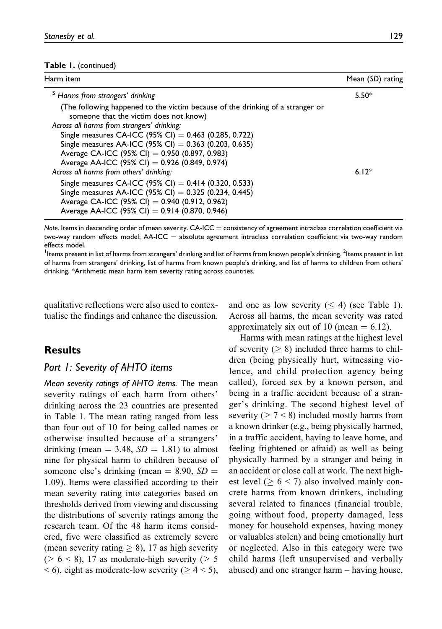#### Table 1. (continued)

| Harm item                                                                                                                | Mean (SD) rating |
|--------------------------------------------------------------------------------------------------------------------------|------------------|
| <sup>S</sup> Harms from strangers' drinking                                                                              | $5.50*$          |
| (The following happened to the victim because of the drinking of a stranger or<br>someone that the victim does not know) |                  |
| Across all harms from strangers' drinking:                                                                               |                  |
| Single measures CA-ICC (95% CI) = $0.463$ (0.285, 0.722)                                                                 |                  |
| Single measures AA-ICC (95% CI) = 0.363 (0.203, 0.635)                                                                   |                  |
| Average CA-ICC (95% CI) = 0.950 (0.897, 0.983)                                                                           |                  |
| Average AA-ICC (95% CI) = 0.926 (0.849, 0.974)                                                                           |                  |
| Across all harms from others' drinking:                                                                                  | $6.12*$          |
| Single measures CA-ICC (95% CI) = $0.414$ (0.320, 0.533)                                                                 |                  |
| Single measures AA-ICC (95% CI) = $0.325$ (0.234, 0.445)                                                                 |                  |
| Average CA-ICC (95% CI) = 0.940 (0.912, 0.962)                                                                           |                  |
| Average AA-ICC (95% CI) = 0.914 (0.870, 0.946)                                                                           |                  |

Note. Items in descending order of mean severity.  $CA$ -ICC = consistency of agreement intraclass correlation coefficient via two-way random effects model;  $AA$ -ICC = absolute agreement intraclass correlation coefficient via two-way random effects model.

<sup>1</sup>Items present in list of harms from strangers' drinking and list of harms from known people's drinking. <sup>2</sup>Items present in list of harms from strangers' drinking, list of harms from known people's drinking, and list of harms to children from others' drinking. \*Arithmetic mean harm item severity rating across countries.

qualitative reflections were also used to contextualise the findings and enhance the discussion.

#### Results

#### Part 1: Severity of AHTO items

Mean severity ratings of AHTO items. The mean severity ratings of each harm from others' drinking across the 23 countries are presented in Table 1. The mean rating ranged from less than four out of 10 for being called names or otherwise insulted because of a strangers' drinking (mean  $=$  3.48,  $SD = 1.81$ ) to almost nine for physical harm to children because of someone else's drinking (mean  $= 8.90, SD =$ 1.09). Items were classified according to their mean severity rating into categories based on thresholds derived from viewing and discussing the distributions of severity ratings among the research team. Of the 48 harm items considered, five were classified as extremely severe (mean severity rating  $\geq 8$ ), 17 as high severity  $(\geq 6 \leq 8)$ , 17 as moderate-high severity ( $\geq 5$  $<$  6), eight as moderate-low severity ( $\geq 4$  < 5),

and one as low severity  $(< 4)$  (see Table 1). Across all harms, the mean severity was rated approximately six out of 10 (mean  $= 6.12$ ).

Harms with mean ratings at the highest level of severity ( $\geq 8$ ) included three harms to children (being physically hurt, witnessing violence, and child protection agency being called), forced sex by a known person, and being in a traffic accident because of a stranger's drinking. The second highest level of severity ( $\geq 7 < 8$ ) included mostly harms from a known drinker (e.g., being physically harmed, in a traffic accident, having to leave home, and feeling frightened or afraid) as well as being physically harmed by a stranger and being in an accident or close call at work. The next highest level ( $\geq 6$  < 7) also involved mainly concrete harms from known drinkers, including several related to finances (financial trouble, going without food, property damaged, less money for household expenses, having money or valuables stolen) and being emotionally hurt or neglected. Also in this category were two child harms (left unsupervised and verbally abused) and one stranger harm – having house,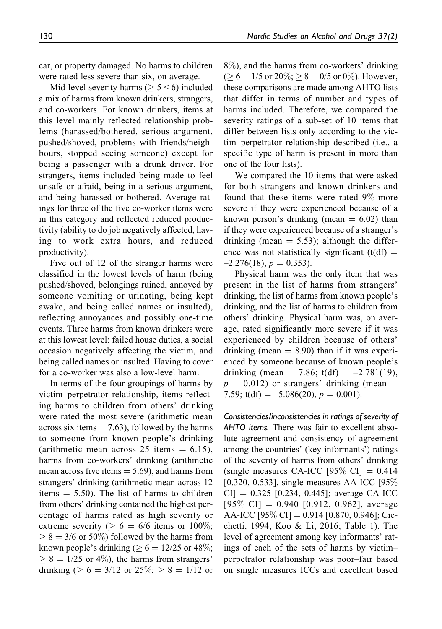car, or property damaged. No harms to children were rated less severe than six, on average.

Mid-level severity harms ( $\geq 5 \leq 6$ ) included a mix of harms from known drinkers, strangers, and co-workers. For known drinkers, items at this level mainly reflected relationship problems (harassed/bothered, serious argument, pushed/shoved, problems with friends/neighbours, stopped seeing someone) except for being a passenger with a drunk driver. For strangers, items included being made to feel unsafe or afraid, being in a serious argument, and being harassed or bothered. Average ratings for three of the five co-worker items were in this category and reflected reduced productivity (ability to do job negatively affected, having to work extra hours, and reduced productivity).

Five out of 12 of the stranger harms were classified in the lowest levels of harm (being pushed/shoved, belongings ruined, annoyed by someone vomiting or urinating, being kept awake, and being called names or insulted), reflecting annoyances and possibly one-time events. Three harms from known drinkers were at this lowest level: failed house duties, a social occasion negatively affecting the victim, and being called names or insulted. Having to cover for a co-worker was also a low-level harm.

In terms of the four groupings of harms by victim–perpetrator relationship, items reflecting harms to children from others' drinking were rated the most severe (arithmetic mean across six items  $= 7.63$ ), followed by the harms to someone from known people's drinking (arithmetic mean across 25 items  $= 6.15$ ), harms from co-workers' drinking (arithmetic mean across five items  $= 5.69$ ), and harms from strangers' drinking (arithmetic mean across 12 items  $= 5.50$ ). The list of harms to children from others' drinking contained the highest percentage of harms rated as high severity or extreme severity ( $\geq 6 = 6/6$  items or 100%;  $\geq$  8 = 3/6 or 50%) followed by the harms from known people's drinking ( $\geq 6 = 12/25$  or 48%;  $\geq$  8 = 1/25 or 4%), the harms from strangers' drinking ( $\geq 6 = 3/12$  or  $25\%$ ;  $\geq 8 = 1/12$  or

8%), and the harms from co-workers' drinking ( $\geq 6 = 1/5$  or 20%;  $\geq 8 = 0/5$  or 0%). However, these comparisons are made among AHTO lists that differ in terms of number and types of harms included. Therefore, we compared the severity ratings of a sub-set of 10 items that differ between lists only according to the victim–perpetrator relationship described (i.e., a specific type of harm is present in more than one of the four lists).

We compared the 10 items that were asked for both strangers and known drinkers and found that these items were rated 9% more severe if they were experienced because of a known person's drinking (mean  $= 6.02$ ) than if they were experienced because of a stranger's drinking (mean  $= 5.53$ ); although the difference was not statistically significant (t(df)  $=$  $-2.276(18)$ ,  $p = 0.353$ ).

Physical harm was the only item that was present in the list of harms from strangers' drinking, the list of harms from known people's drinking, and the list of harms to children from others' drinking. Physical harm was, on average, rated significantly more severe if it was experienced by children because of others' drinking (mean  $= 8.90$ ) than if it was experienced by someone because of known people's drinking (mean = 7.86; t(df) =  $-2.781(19)$ ,  $p = 0.012$ ) or strangers' drinking (mean  $=$ 7.59; t(df) =  $-5.086(20)$ , p = 0.001).

Consistencies/inconsistencies in ratings of severity of AHTO items. There was fair to excellent absolute agreement and consistency of agreement among the countries' (key informants') ratings of the severity of harms from others' drinking (single measures CA-ICC [95\% CI] =  $0.414$ [0.320, 0.533], single measures AA-ICC [95%  $CI$ ] = 0.325 [0.234, 0.445]; average CA-ICC  $[95\% \text{ CI}] = 0.940 \; [0.912, 0.962]$ , average AA-ICC [95% CI] = 0.914 [0.870, 0.946]; Cicchetti, 1994; Koo & Li, 2016; Table 1). The level of agreement among key informants' ratings of each of the sets of harms by victim– perpetrator relationship was poor–fair based on single measures ICCs and excellent based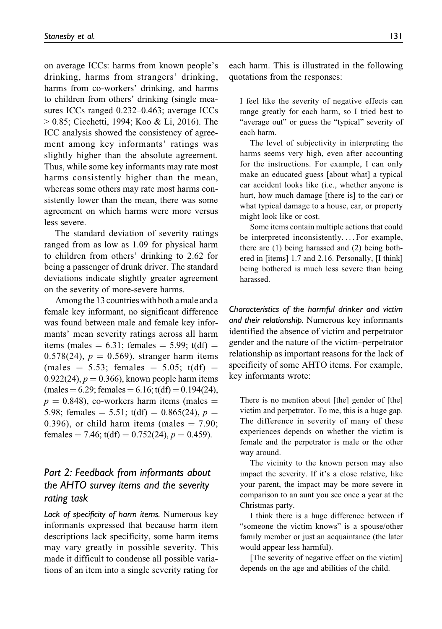on average ICCs: harms from known people's drinking, harms from strangers' drinking, harms from co-workers' drinking, and harms to children from others' drinking (single measures ICCs ranged 0.232–0.463; average ICCs > 0.85; Cicchetti, 1994; Koo & Li, 2016). The ICC analysis showed the consistency of agreement among key informants' ratings was slightly higher than the absolute agreement. Thus, while some key informants may rate most harms consistently higher than the mean, whereas some others may rate most harms consistently lower than the mean, there was some agreement on which harms were more versus less severe.

The standard deviation of severity ratings ranged from as low as 1.09 for physical harm to children from others' drinking to 2.62 for being a passenger of drunk driver. The standard deviations indicate slightly greater agreement on the severity of more-severe harms.

Amongthe 13 countries with both a male and a female key informant, no significant difference was found between male and female key informants' mean severity ratings across all harm items (males  $= 6.31$ ; females  $= 5.99$ ; t(df)  $=$ 0.578(24),  $p = 0.569$ ), stranger harm items (males  $= 5.53$ ; females  $= 5.05$ ; t(df)  $=$ 0.922(24),  $p = 0.366$ ), known people harm items  $(males = 6.29; females = 6.16; t(df) = 0.194(24),$  $p = 0.848$ ), co-workers harm items (males  $=$ 5.98; females  $= 5.51$ ; t(df)  $= 0.865(24)$ ,  $p =$ 0.396), or child harm items (males  $= 7.90$ ; females = 7.46;  $t(df) = 0.752(24), p = 0.459$ .

# Part 2: Feedback from informants about the AHTO survey items and the severity rating task

Lack of specificity of harm items. Numerous key informants expressed that because harm item descriptions lack specificity, some harm items may vary greatly in possible severity. This made it difficult to condense all possible variations of an item into a single severity rating for each harm. This is illustrated in the following quotations from the responses:

I feel like the severity of negative effects can range greatly for each harm, so I tried best to "average out" or guess the "typical" severity of each harm.

The level of subjectivity in interpreting the harms seems very high, even after accounting for the instructions. For example, I can only make an educated guess [about what] a typical car accident looks like (i.e., whether anyone is hurt, how much damage [there is] to the car) or what typical damage to a house, car, or property might look like or cost.

Some items contain multiple actions that could be interpreted inconsistently. ... For example, there are (1) being harassed and (2) being bothered in [items] 1.7 and 2.16. Personally, [I think] being bothered is much less severe than being harassed.

Characteristics of the harmful drinker and victim and their relationship. Numerous key informants identified the absence of victim and perpetrator gender and the nature of the victim–perpetrator relationship as important reasons for the lack of specificity of some AHTO items. For example, key informants wrote:

There is no mention about [the] gender of [the] victim and perpetrator. To me, this is a huge gap. The difference in severity of many of these experiences depends on whether the victim is female and the perpetrator is male or the other way around.

The vicinity to the known person may also impact the severity. If it's a close relative, like your parent, the impact may be more severe in comparison to an aunt you see once a year at the Christmas party.

I think there is a huge difference between if "someone the victim knows" is a spouse/other family member or just an acquaintance (the later would appear less harmful).

[The severity of negative effect on the victim] depends on the age and abilities of the child.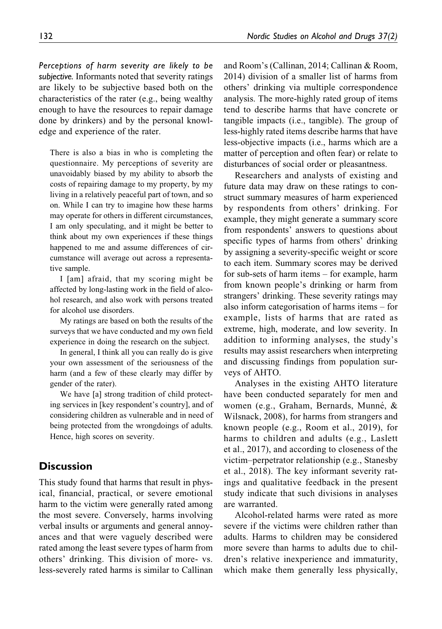Perceptions of harm severity are likely to be subjective. Informants noted that severity ratings are likely to be subjective based both on the characteristics of the rater (e.g., being wealthy enough to have the resources to repair damage done by drinkers) and by the personal knowledge and experience of the rater.

There is also a bias in who is completing the questionnaire. My perceptions of severity are unavoidably biased by my ability to absorb the costs of repairing damage to my property, by my living in a relatively peaceful part of town, and so on. While I can try to imagine how these harms may operate for others in different circumstances, I am only speculating, and it might be better to think about my own experiences if these things happened to me and assume differences of circumstance will average out across a representative sample.

I [am] afraid, that my scoring might be affected by long-lasting work in the field of alcohol research, and also work with persons treated for alcohol use disorders.

My ratings are based on both the results of the surveys that we have conducted and my own field experience in doing the research on the subject.

In general, I think all you can really do is give your own assessment of the seriousness of the harm (and a few of these clearly may differ by gender of the rater).

We have [a] strong tradition of child protecting services in [key respondent's country], and of considering children as vulnerable and in need of being protected from the wrongdoings of adults. Hence, high scores on severity.

### **Discussion**

This study found that harms that result in physical, financial, practical, or severe emotional harm to the victim were generally rated among the most severe. Conversely, harms involving verbal insults or arguments and general annoyances and that were vaguely described were rated among the least severe types of harm from others' drinking. This division of more- vs. less-severely rated harms is similar to Callinan

and Room's (Callinan, 2014; Callinan & Room, 2014) division of a smaller list of harms from others' drinking via multiple correspondence analysis. The more-highly rated group of items tend to describe harms that have concrete or tangible impacts (i.e., tangible). The group of less-highly rated items describe harms that have less-objective impacts (i.e., harms which are a matter of perception and often fear) or relate to disturbances of social order or pleasantness.

Researchers and analysts of existing and future data may draw on these ratings to construct summary measures of harm experienced by respondents from others' drinking. For example, they might generate a summary score from respondents' answers to questions about specific types of harms from others' drinking by assigning a severity-specific weight or score to each item. Summary scores may be derived for sub-sets of harm items – for example, harm from known people's drinking or harm from strangers' drinking. These severity ratings may also inform categorisation of harms items – for example, lists of harms that are rated as extreme, high, moderate, and low severity. In addition to informing analyses, the study's results may assist researchers when interpreting and discussing findings from population surveys of AHTO.

Analyses in the existing AHTO literature have been conducted separately for men and women (e.g., Graham, Bernards, Munné, & Wilsnack, 2008), for harms from strangers and known people (e.g., Room et al., 2019), for harms to children and adults (e.g., Laslett et al., 2017), and according to closeness of the victim–perpetrator relationship (e.g., Stanesby et al., 2018). The key informant severity ratings and qualitative feedback in the present study indicate that such divisions in analyses are warranted.

Alcohol-related harms were rated as more severe if the victims were children rather than adults. Harms to children may be considered more severe than harms to adults due to children's relative inexperience and immaturity, which make them generally less physically.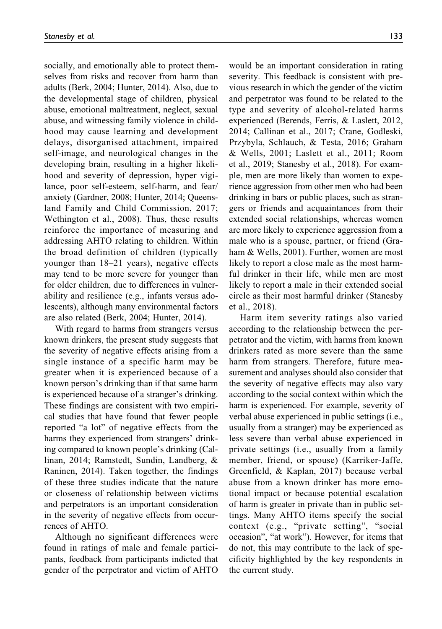socially, and emotionally able to protect themselves from risks and recover from harm than adults (Berk, 2004; Hunter, 2014). Also, due to the developmental stage of children, physical abuse, emotional maltreatment, neglect, sexual abuse, and witnessing family violence in childhood may cause learning and development delays, disorganised attachment, impaired self-image, and neurological changes in the developing brain, resulting in a higher likelihood and severity of depression, hyper vigilance, poor self-esteem, self-harm, and fear/ anxiety (Gardner, 2008; Hunter, 2014; Queensland Family and Child Commission, 2017; Wethington et al., 2008). Thus, these results reinforce the importance of measuring and addressing AHTO relating to children. Within the broad definition of children (typically younger than 18–21 years), negative effects may tend to be more severe for younger than for older children, due to differences in vulnerability and resilience (e.g., infants versus adolescents), although many environmental factors are also related (Berk, 2004; Hunter, 2014).

With regard to harms from strangers versus known drinkers, the present study suggests that the severity of negative effects arising from a single instance of a specific harm may be greater when it is experienced because of a known person's drinking than if that same harm is experienced because of a stranger's drinking. These findings are consistent with two empirical studies that have found that fewer people reported "a lot" of negative effects from the harms they experienced from strangers' drinking compared to known people's drinking (Callinan, 2014; Ramstedt, Sundin, Landberg, & Raninen, 2014). Taken together, the findings of these three studies indicate that the nature or closeness of relationship between victims and perpetrators is an important consideration in the severity of negative effects from occurrences of AHTO.

Although no significant differences were found in ratings of male and female participants, feedback from participants indicted that gender of the perpetrator and victim of AHTO would be an important consideration in rating severity. This feedback is consistent with previous research in which the gender of the victim and perpetrator was found to be related to the type and severity of alcohol-related harms experienced (Berends, Ferris, & Laslett, 2012, 2014; Callinan et al., 2017; Crane, Godleski, Przybyla, Schlauch, & Testa, 2016; Graham & Wells, 2001; Laslett et al., 2011; Room et al., 2019; Stanesby et al., 2018). For example, men are more likely than women to experience aggression from other men who had been drinking in bars or public places, such as strangers or friends and acquaintances from their extended social relationships, whereas women are more likely to experience aggression from a male who is a spouse, partner, or friend (Graham & Wells, 2001). Further, women are most likely to report a close male as the most harmful drinker in their life, while men are most likely to report a male in their extended social circle as their most harmful drinker (Stanesby et al., 2018).

Harm item severity ratings also varied according to the relationship between the perpetrator and the victim, with harms from known drinkers rated as more severe than the same harm from strangers. Therefore, future measurement and analyses should also consider that the severity of negative effects may also vary according to the social context within which the harm is experienced. For example, severity of verbal abuse experienced in public settings (i.e., usually from a stranger) may be experienced as less severe than verbal abuse experienced in private settings (i.e., usually from a family member, friend, or spouse) (Karriker-Jaffe, Greenfield, & Kaplan, 2017) because verbal abuse from a known drinker has more emotional impact or because potential escalation of harm is greater in private than in public settings. Many AHTO items specify the social context (e.g., "private setting", "social occasion", "at work"). However, for items that do not, this may contribute to the lack of specificity highlighted by the key respondents in the current study.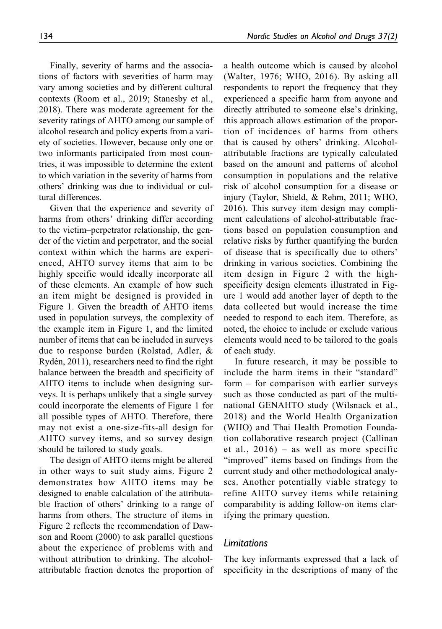Finally, severity of harms and the associations of factors with severities of harm may vary among societies and by different cultural contexts (Room et al., 2019; Stanesby et al., 2018). There was moderate agreement for the severity ratings of AHTO among our sample of alcohol research and policy experts from a variety of societies. However, because only one or two informants participated from most countries, it was impossible to determine the extent to which variation in the severity of harms from others' drinking was due to individual or cultural differences.

Given that the experience and severity of harms from others' drinking differ according to the victim–perpetrator relationship, the gender of the victim and perpetrator, and the social context within which the harms are experienced, AHTO survey items that aim to be highly specific would ideally incorporate all of these elements. An example of how such an item might be designed is provided in Figure 1. Given the breadth of AHTO items used in population surveys, the complexity of the example item in Figure 1, and the limited number of items that can be included in surveys due to response burden (Rolstad, Adler, & Rydén, 2011), researchers need to find the right balance between the breadth and specificity of AHTO items to include when designing surveys. It is perhaps unlikely that a single survey could incorporate the elements of Figure 1 for all possible types of AHTO. Therefore, there may not exist a one-size-fits-all design for AHTO survey items, and so survey design should be tailored to study goals.

The design of AHTO items might be altered in other ways to suit study aims. Figure 2 demonstrates how AHTO items may be designed to enable calculation of the attributable fraction of others' drinking to a range of harms from others. The structure of items in Figure 2 reflects the recommendation of Dawson and Room (2000) to ask parallel questions about the experience of problems with and without attribution to drinking. The alcoholattributable fraction denotes the proportion of

a health outcome which is caused by alcohol (Walter, 1976; WHO, 2016). By asking all respondents to report the frequency that they experienced a specific harm from anyone and directly attributed to someone else's drinking, this approach allows estimation of the proportion of incidences of harms from others that is caused by others' drinking. Alcoholattributable fractions are typically calculated based on the amount and patterns of alcohol consumption in populations and the relative risk of alcohol consumption for a disease or injury (Taylor, Shield, & Rehm, 2011; WHO, 2016). This survey item design may compliment calculations of alcohol-attributable fractions based on population consumption and relative risks by further quantifying the burden of disease that is specifically due to others' drinking in various societies. Combining the item design in Figure 2 with the highspecificity design elements illustrated in Figure 1 would add another layer of depth to the data collected but would increase the time needed to respond to each item. Therefore, as noted, the choice to include or exclude various elements would need to be tailored to the goals of each study.

In future research, it may be possible to include the harm items in their "standard" form – for comparison with earlier surveys such as those conducted as part of the multinational GENAHTO study (Wilsnack et al., 2018) and the World Health Organization (WHO) and Thai Health Promotion Foundation collaborative research project (Callinan et al., 2016) – as well as more specific "improved" items based on findings from the current study and other methodological analyses. Another potentially viable strategy to refine AHTO survey items while retaining comparability is adding follow-on items clarifying the primary question.

#### Limitations

The key informants expressed that a lack of specificity in the descriptions of many of the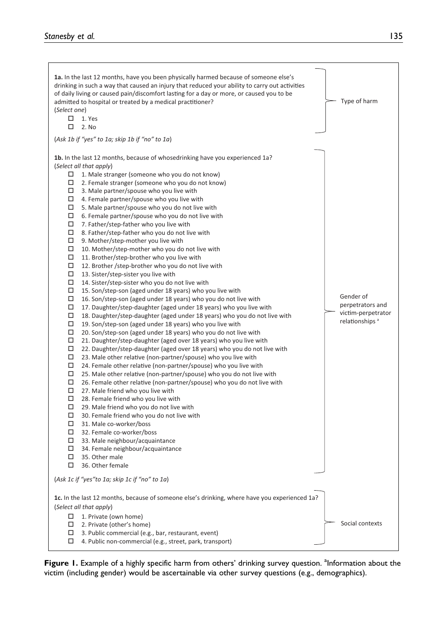| 1a. In the last 12 months, have you been physically harmed because of someone else's           |                            |
|------------------------------------------------------------------------------------------------|----------------------------|
| drinking in such a way that caused an injury that reduced your ability to carry out activities |                            |
| of daily living or caused pain/discomfort lasting for a day or more, or caused you to be       |                            |
| admitted to hospital or treated by a medical practitioner?                                     | Type of harm               |
| (Select one)                                                                                   |                            |
| $\Box$ 1. Yes                                                                                  |                            |
| $\Box$ 2. No                                                                                   |                            |
|                                                                                                |                            |
| (Ask 1b if "yes" to 1a; skip 1b if "no" to 1a)                                                 |                            |
|                                                                                                |                            |
| 1b. In the last 12 months, because of whosedrinking have you experienced 1a?                   |                            |
| (Select all that apply)                                                                        |                            |
| $\Box$ 1. Male stranger (someone who you do not know)                                          |                            |
| $\Box$ 2. Female stranger (someone who you do not know)                                        |                            |
| $\Box$ 3. Male partner/spouse who you live with                                                |                            |
| $\Box$ 4. Female partner/spouse who you live with                                              |                            |
| $\Box$ 5. Male partner/spouse who you do not live with                                         |                            |
| $\Box$<br>6. Female partner/spouse who you do not live with                                    |                            |
| $\Box$<br>7. Father/step-father who you live with                                              |                            |
| $\Box$<br>8. Father/step-father who you do not live with                                       |                            |
| $\Box$<br>9. Mother/step-mother you live with                                                  |                            |
| □<br>10. Mother/step-mother who you do not live with                                           |                            |
| □<br>11. Brother/step-brother who you live with                                                |                            |
| □<br>12. Brother /step-brother who you do not live with                                        |                            |
| □<br>13. Sister/step-sister you live with                                                      |                            |
| □<br>14. Sister/step-sister who you do not live with                                           |                            |
| □<br>15. Son/step-son (aged under 18 years) who you live with                                  | Gender of                  |
| □<br>16. Son/step-son (aged under 18 years) who you do not live with                           | perpetrators and           |
| □<br>17. Daughter/step-daughter (aged under 18 years) who you live with                        | victim-perpetrator         |
| □<br>18. Daughter/step-daughter (aged under 18 years) who you do not live with                 | relationships <sup>a</sup> |
| □<br>19. Son/step-son (aged under 18 years) who you live with                                  |                            |
| □<br>20. Son/step-son (aged under 18 years) who you do not live with                           |                            |
| □<br>21. Daughter/step-daughter (aged over 18 years) who you live with                         |                            |
| □<br>22. Daughter/step-daughter (aged over 18 years) who you do not live with                  |                            |
| □<br>23. Male other relative (non-partner/spouse) who you live with                            |                            |
| □<br>24. Female other relative (non-partner/spouse) who you live with                          |                            |
| $\Box$<br>25. Male other relative (non-partner/spouse) who you do not live with                |                            |
| □<br>26. Female other relative (non-partner/spouse) who you do not live with                   |                            |
| $\Box$<br>27. Male friend who you live with                                                    |                            |
| □<br>28. Female friend who you live with                                                       |                            |
| $\Box$<br>29. Male friend who you do not live with                                             |                            |
| □<br>30. Female friend who you do not live with                                                |                            |
| $\Box$<br>31. Male co-worker/boss                                                              |                            |
| □<br>32. Female co-worker/boss<br>$\Box$                                                       |                            |
| 33. Male neighbour/acquaintance                                                                |                            |
| □<br>34. Female neighbour/acquaintance<br>35. Other male<br>□                                  |                            |
| □<br>36. Other female                                                                          |                            |
|                                                                                                |                            |
| (Ask 1c if "yes"to 1a; skip 1c if "no" to 1a)                                                  |                            |
| 1c. In the last 12 months, because of someone else's drinking, where have you experienced 1a?  |                            |
| (Select all that apply)                                                                        |                            |
|                                                                                                |                            |
| 1. Private (own home)<br>□                                                                     | Social contexts            |
| 2. Private (other's home)<br>3. Public commercial (e.g., bar, restaurant, event)               |                            |
| 4. Public non-commercial (e.g., street, park, transport)                                       |                            |
|                                                                                                |                            |

Figure 1. Example of a highly specific harm from others' drinking survey question. <sup>a</sup>lnformation about the victim (including gender) would be ascertainable via other survey questions (e.g., demographics).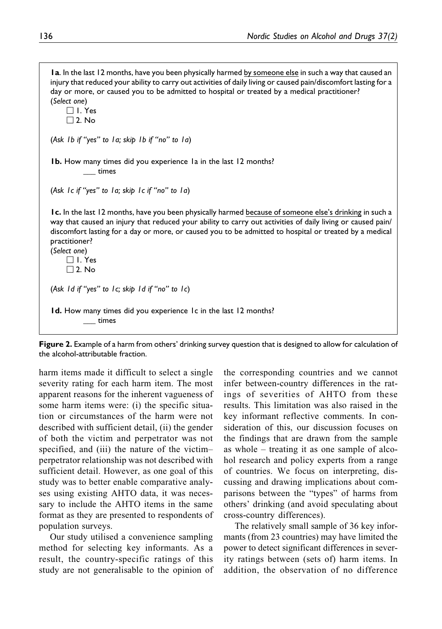1a. In the last 12 months, have you been physically harmed by someone else in such a way that caused an injury that reduced your ability to carry out activities of daily living or caused pain/discomfort lasting for a day or more, or caused you to be admitted to hospital or treated by a medical practitioner? (Select one)  $\Box$  1. Yes  $\Box$  2. No (Ask 1b if "yes" to 1a; skip 1b if "no" to 1a) **1b.** How many times did you experience 1a in the last 12 months? \_\_\_ times (Ask 1c if "yes" to 1a; skip 1c if "no" to 1a) 1c. In the last 12 months, have you been physically harmed because of someone else's drinking in such a way that caused an injury that reduced your ability to carry out activities of daily living or caused pain/ discomfort lasting for a day or more, or caused you to be admitted to hospital or treated by a medical practitioner? (Select one)  $\Box$  1. Yes  $\Box$  2. No (Ask 1d if "yes" to 1c; skip 1d if "no" to 1c) 1d. How many times did you experience 1c in the last 12 months? \_\_\_ times

Figure 2. Example of a harm from others' drinking survey question that is designed to allow for calculation of the alcohol-attributable fraction.

harm items made it difficult to select a single severity rating for each harm item. The most apparent reasons for the inherent vagueness of some harm items were: (i) the specific situation or circumstances of the harm were not described with sufficient detail, (ii) the gender of both the victim and perpetrator was not specified, and (iii) the nature of the victim– perpetrator relationship was not described with sufficient detail. However, as one goal of this study was to better enable comparative analyses using existing AHTO data, it was necessary to include the AHTO items in the same format as they are presented to respondents of population surveys.

Our study utilised a convenience sampling method for selecting key informants. As a result, the country-specific ratings of this study are not generalisable to the opinion of the corresponding countries and we cannot infer between-country differences in the ratings of severities of AHTO from these results. This limitation was also raised in the key informant reflective comments. In consideration of this, our discussion focuses on the findings that are drawn from the sample as whole – treating it as one sample of alcohol research and policy experts from a range of countries. We focus on interpreting, discussing and drawing implications about comparisons between the "types" of harms from others' drinking (and avoid speculating about cross-country differences).

The relatively small sample of 36 key informants (from 23 countries) may have limited the power to detect significant differences in severity ratings between (sets of) harm items. In addition, the observation of no difference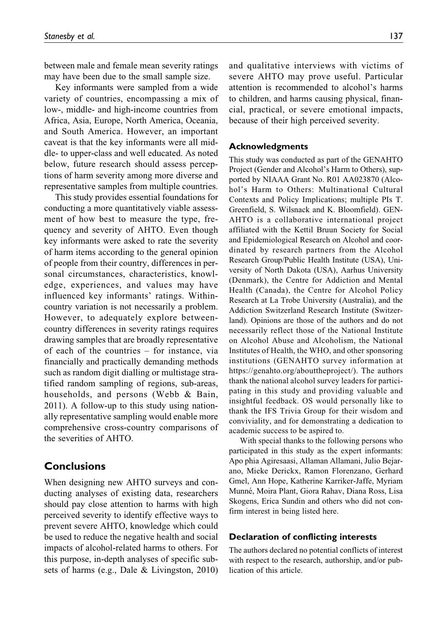between male and female mean severity ratings may have been due to the small sample size.

Key informants were sampled from a wide variety of countries, encompassing a mix of low-, middle- and high-income countries from Africa, Asia, Europe, North America, Oceania, and South America. However, an important caveat is that the key informants were all middle- to upper-class and well educated. As noted below, future research should assess perceptions of harm severity among more diverse and representative samples from multiple countries.

This study provides essential foundations for conducting a more quantitatively viable assessment of how best to measure the type, frequency and severity of AHTO. Even though key informants were asked to rate the severity of harm items according to the general opinion of people from their country, differences in personal circumstances, characteristics, knowledge, experiences, and values may have influenced key informants' ratings. Withincountry variation is not necessarily a problem. However, to adequately explore betweencountry differences in severity ratings requires drawing samples that are broadly representative of each of the countries – for instance, via financially and practically demanding methods such as random digit dialling or multistage stratified random sampling of regions, sub-areas, households, and persons (Webb & Bain, 2011). A follow-up to this study using nationally representative sampling would enable more comprehensive cross-country comparisons of the severities of AHTO.

### Conclusions

When designing new AHTO surveys and conducting analyses of existing data, researchers should pay close attention to harms with high perceived severity to identify effective ways to prevent severe AHTO, knowledge which could be used to reduce the negative health and social impacts of alcohol-related harms to others. For this purpose, in-depth analyses of specific subsets of harms (e.g., Dale & Livingston, 2010)

and qualitative interviews with victims of severe AHTO may prove useful. Particular attention is recommended to alcohol's harms to children, and harms causing physical, financial, practical, or severe emotional impacts, because of their high perceived severity.

#### Acknowledgments

This study was conducted as part of the GENAHTO Project (Gender and Alcohol's Harm to Others), supported by NIAAA Grant No. R01 AA023870 (Alcohol's Harm to Others: Multinational Cultural Contexts and Policy Implications; multiple PIs T. Greenfield, S. Wilsnack and K. Bloomfield). GEN-AHTO is a collaborative international project affiliated with the Kettil Bruun Society for Social and Epidemiological Research on Alcohol and coordinated by research partners from the Alcohol Research Group/Public Health Institute (USA), University of North Dakota (USA), Aarhus University (Denmark), the Centre for Addiction and Mental Health (Canada), the Centre for Alcohol Policy Research at La Trobe University (Australia), and the Addiction Switzerland Research Institute (Switzerland). Opinions are those of the authors and do not necessarily reflect those of the National Institute on Alcohol Abuse and Alcoholism, the National Institutes of Health, the WHO, and other sponsoring institutions (GENAHTO survey information at <https://genahto.org/abouttheproject/>). The authors thank the national alcohol survey leaders for participating in this study and providing valuable and insightful feedback. OS would personally like to thank the IFS Trivia Group for their wisdom and conviviality, and for demonstrating a dedication to academic success to be aspired to.

With special thanks to the following persons who participated in this study as the expert informants: Apo phia Agiresaasi, Allaman Allamani, Julio Bejarano, Mieke Derickx, Ramon Florenzano, Gerhard Gmel, Ann Hope, Katherine Karriker-Jaffe, Myriam Munn´e, Moira Plant, Giora Rahav, Diana Ross, Lisa Skogens, Erica Sundin and others who did not confirm interest in being listed here.

#### Declaration of conflicting interests

The authors declared no potential conflicts of interest with respect to the research, authorship, and/or publication of this article.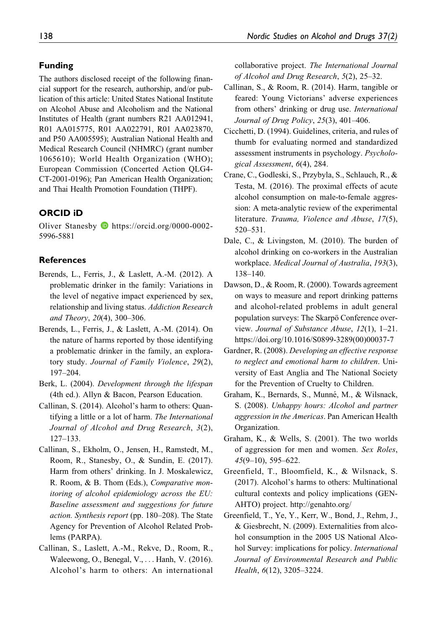#### Funding

The authors disclosed receipt of the following financial support for the research, authorship, and/or publication of this article: United States National Institute on Alcohol Abuse and Alcoholism and the National Institutes of Health (grant numbers R21 AA012941, R01 AA015775, R01 AA022791, R01 AA023870, and P50 AA005595); Australian National Health and Medical Research Council (NHMRC) (grant number 1065610); World Health Organization (WHO); European Commission (Concerted Action QLG4- CT-2001-0196); Pan American Health Organization; and Thai Health Promotion Foundation (THPF).

#### ORCID iD

Oliver Stanesby [https://orcid.org/0000-0002-](https://orcid.org/0000-0002-5996-5881) [5996-5881](https://orcid.org/0000-0002-5996-5881)

#### References

- Berends, L., Ferris, J., & Laslett, A.-M. (2012). A problematic drinker in the family: Variations in the level of negative impact experienced by sex, relationship and living status. Addiction Research and Theory, 20(4), 300–306.
- Berends, L., Ferris, J., & Laslett, A.-M. (2014). On the nature of harms reported by those identifying a problematic drinker in the family, an exploratory study. Journal of Family Violence, 29(2), 197–204.
- Berk, L. (2004). Development through the lifespan (4th ed.). Allyn & Bacon, Pearson Education.
- Callinan, S. (2014). Alcohol's harm to others: Quantifying a little or a lot of harm. The International Journal of Alcohol and Drug Research, 3(2), 127–133.
- Callinan, S., Ekholm, O., Jensen, H., Ramstedt, M., Room, R., Stanesby, O., & Sundin, E. (2017). Harm from others' drinking. In J. Moskalewicz, R. Room, & B. Thom (Eds.), Comparative monitoring of alcohol epidemiology across the EU: Baseline assessment and suggestions for future action. Synthesis report (pp. 180–208). The State Agency for Prevention of Alcohol Related Problems (PARPA).
- Callinan, S., Laslett, A.-M., Rekve, D., Room, R., Waleewong, O., Benegal, V., ... Hanh, V. (2016). Alcohol's harm to others: An international

collaborative project. The International Journal of Alcohol and Drug Research, 5(2), 25–32.

- Callinan, S., & Room, R. (2014). Harm, tangible or feared: Young Victorians' adverse experiences from others' drinking or drug use. International Journal of Drug Policy, 25(3), 401–406.
- Cicchetti, D. (1994). Guidelines, criteria, and rules of thumb for evaluating normed and standardized assessment instruments in psychology. Psychological Assessment, 6(4), 284.
- Crane, C., Godleski, S., Przybyla, S., Schlauch, R., & Testa, M. (2016). The proximal effects of acute alcohol consumption on male-to-female aggression: A meta-analytic review of the experimental literature. Trauma, Violence and Abuse, 17(5), 520–531.
- Dale, C., & Livingston, M. (2010). The burden of alcohol drinking on co-workers in the Australian workplace. Medical Journal of Australia, 193(3), 138–140.
- Dawson, D., & Room, R. (2000). Towards agreement on ways to measure and report drinking patterns and alcohol-related problems in adult general population surveys: The Skarpö Conference overview. Journal of Substance Abuse, 12(1), 1–21. [https://doi.org/10.1016/S0899-3289\(00\)00037-7](https://doi.org/10.1016/S0899-3289(00)00037-7)
- Gardner, R. (2008). Developing an effective response to neglect and emotional harm to children. University of East Anglia and The National Society for the Prevention of Cruelty to Children.
- Graham, K., Bernards, S., Munné, M., & Wilsnack, S. (2008). Unhappy hours: Alcohol and partner aggression in the Americas. Pan American Health Organization.
- Graham, K., & Wells, S. (2001). The two worlds of aggression for men and women. Sex Roles,  $45(9-10)$ , 595-622.
- Greenfield, T., Bloomfield, K., & Wilsnack, S. (2017). Alcohol's harms to others: Multinational cultural contexts and policy implications (GEN-AHTO) project.<http://genahto.org/>
- Greenfield, T., Ye, Y., Kerr, W., Bond, J., Rehm, J., & Giesbrecht, N. (2009). Externalities from alcohol consumption in the 2005 US National Alcohol Survey: implications for policy. International Journal of Environmental Research and Public Health, 6(12), 3205–3224.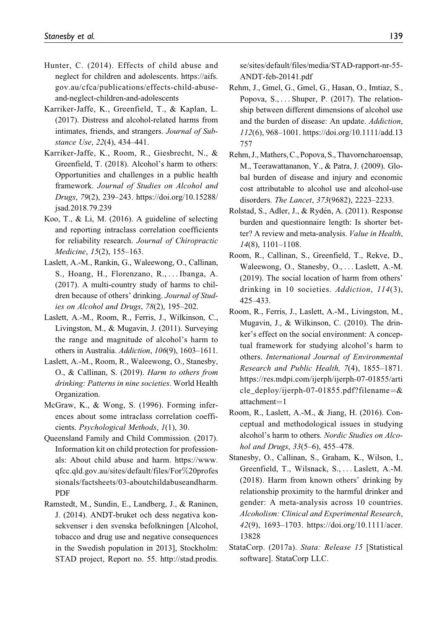- Hunter, C. (2014). Effects of child abuse and neglect for children and adolescents. [https://aifs.](https://aifs.gov.au/cfca/publications/effects-child-abuse-and-neglect-children-and-adolescents) [gov.au/cfca/publications/effects-child-abuse](https://aifs.gov.au/cfca/publications/effects-child-abuse-and-neglect-children-and-adolescents)[and-neglect-children-and-adolescents](https://aifs.gov.au/cfca/publications/effects-child-abuse-and-neglect-children-and-adolescents)
- Karriker-Jaffe, K., Greenfield, T., & Kaplan, L. (2017). Distress and alcohol-related harms from intimates, friends, and strangers. Journal of Substance Use, 22(4), 434–441.
- Karriker-Jaffe, K., Room, R., Giesbrecht, N., & Greenfield, T. (2018). Alcohol's harm to others: Opportunities and challenges in a public health framework. Journal of Studies on Alcohol and Drugs, 79(2), 239–243. [https://doi.org/10.15288/](https://doi.org/10.15288/jsad.2018.79.239) [jsad.2018.79.239](https://doi.org/10.15288/jsad.2018.79.239)
- Koo, T., & Li, M. (2016). A guideline of selecting and reporting intraclass correlation coefficients for reliability research. Journal of Chiropractic Medicine, 15(2), 155–163.
- Laslett, A.-M., Rankin, G., Waleewong, O., Callinan, S., Hoang, H., Florenzano, R., ... Ibanga, A. (2017). A multi-country study of harms to children because of others' drinking. Journal of Studies on Alcohol and Drugs, 78(2), 195–202.
- Laslett, A.-M., Room, R., Ferris, J., Wilkinson, C., Livingston, M., & Mugavin, J. (2011). Surveying the range and magnitude of alcohol's harm to others in Australia. Addiction, 106(9), 1603–1611.
- Laslett, A.-M., Room, R., Waleewong, O., Stanesby, O., & Callinan, S. (2019). Harm to others from drinking: Patterns in nine societies. World Health Organization.
- McGraw, K., & Wong, S. (1996). Forming inferences about some intraclass correlation coefficients. Psychological Methods, 1(1), 30.
- Queensland Family and Child Commission. (2017). Information kit on child protection for professionals: About child abuse and harm. [https://www.](https://www.qfcc.qld.gov.au/sites/default/files/For%20professionals/factsheets/03-aboutchildabuseandharm.PDF) [qfcc.qld.gov.au/sites/default/files/For](https://www.qfcc.qld.gov.au/sites/default/files/For%20professionals/factsheets/03-aboutchildabuseandharm.PDF)%[20profes](https://www.qfcc.qld.gov.au/sites/default/files/For%20professionals/factsheets/03-aboutchildabuseandharm.PDF) [sionals/factsheets/03-aboutchildabuseandharm.](https://www.qfcc.qld.gov.au/sites/default/files/For%20professionals/factsheets/03-aboutchildabuseandharm.PDF) [PDF](https://www.qfcc.qld.gov.au/sites/default/files/For%20professionals/factsheets/03-aboutchildabuseandharm.PDF)
- Ramstedt, M., Sundin, E., Landberg, J., & Raninen, J. (2014). ANDT-bruket och dess negativa konsekvenser i den svenska befolkningen [Alcohol, tobacco and drug use and negative consequences in the Swedish population in 2013], Stockholm: STAD project, Report no. 55. [http://stad.prodis.](http://stad.prodis.se/sites/default/files/media/STAD-rapport-nr-55-ANDT-feb-20141.pdf)

[se/sites/default/files/media/STAD-rapport-nr-55-](http://stad.prodis.se/sites/default/files/media/STAD-rapport-nr-55-ANDT-feb-20141.pdf) [ANDT-feb-20141.pdf](http://stad.prodis.se/sites/default/files/media/STAD-rapport-nr-55-ANDT-feb-20141.pdf)

- Rehm, J., Gmel, G., Gmel, G., Hasan, O., Imtiaz, S., Popova, S., ... Shuper, P. (2017). The relationship between different dimensions of alcohol use and the burden of disease: An update. Addiction, 112(6), 968–1001. [https://doi.org/10.1111/add.13](https://doi.org/10.1111/add.13757) [757](https://doi.org/10.1111/add.13757)
- Rehm, J.,Mathers, C., Popova, S., Thavorncharoensap, M., Teerawattananon, Y., & Patra, J. (2009). Global burden of disease and injury and economic cost attributable to alcohol use and alcohol-use disorders. The Lancet, 373(9682), 2223–2233.
- Rolstad, S., Adler, J., & Rydén, A. (2011). Response burden and questionnaire length: Is shorter better? A review and meta-analysis. Value in Health, 14(8), 1101–1108.
- Room, R., Callinan, S., Greenfield, T., Rekve, D., Waleewong, O., Stanesby, O., ... Laslett, A.-M. (2019). The social location of harm from others' drinking in 10 societies. Addiction, 114(3), 425–433.
- Room, R., Ferris, J., Laslett, A.-M., Livingston, M., Mugavin, J., & Wilkinson, C. (2010). The drinker's effect on the social environment: A conceptual framework for studying alcohol's harm to others. International Journal of Environmental Research and Public Health, 7(4), 1855–1871. [https://res.mdpi.com/ijerph/ijerph-07-01855/arti](https://res.mdpi.com/ijerph/ijerph-07-01855/article_deploy/ijerph-07-01855.pdf?filename=&attachment=1) [cle\\_deploy/ijerph-07-01855.pdf?filename](https://res.mdpi.com/ijerph/ijerph-07-01855/article_deploy/ijerph-07-01855.pdf?filename=&attachment=1)=[&](https://res.mdpi.com/ijerph/ijerph-07-01855/article_deploy/ijerph-07-01855.pdf?filename=&attachment=1)  $attachment = 1$  $attachment = 1$  $attachment = 1$
- Room, R., Laslett, A.-M., & Jiang, H. (2016). Conceptual and methodological issues in studying alcohol's harm to others. Nordic Studies on Alcohol and Drugs, 33(5–6), 455–478.
- Stanesby, O., Callinan, S., Graham, K., Wilson, I., Greenfield, T., Wilsnack, S., ... Laslett, A.-M. (2018). Harm from known others' drinking by relationship proximity to the harmful drinker and gender: A meta-analysis across 10 countries. Alcoholism: Clinical and Experimental Research, 42(9), 1693–1703. [https://doi.org/10.1111/acer.](https://doi.org/10.1111/acer.13828) [13828](https://doi.org/10.1111/acer.13828)
- StataCorp. (2017a). Stata: Release 15 [Statistical software]. StataCorp LLC.